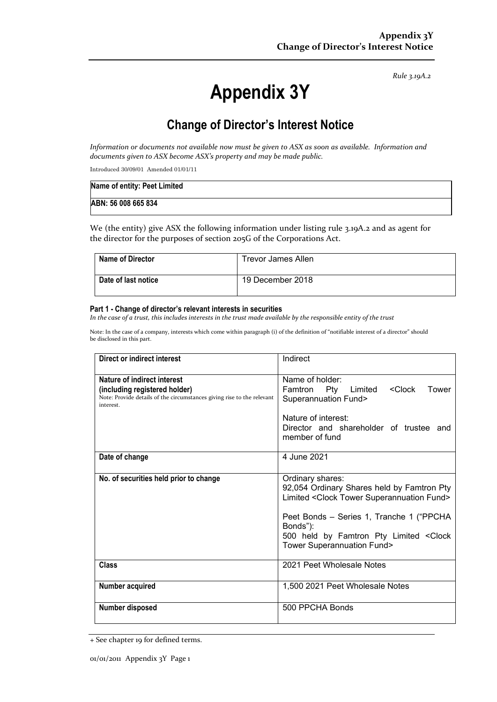*Rule 3.19A.2*

# **Appendix 3Y**

# **Change of Director's Interest Notice**

*Information or documents not available now must be given to ASX as soon as available. Information and documents given to ASX become ASX's property and may be made public.*

Introduced 30/09/01 Amended 01/01/11

| Name of entity: Peet Limited |  |
|------------------------------|--|
| ABN: 56 008 665 834          |  |

We (the entity) give ASX the following information under listing rule 3.19A.2 and as agent for the director for the purposes of section 205G of the Corporations Act.

| <b>Name of Director</b> | Trevor James Allen |
|-------------------------|--------------------|
| Date of last notice     | 19 December 2018   |

#### **Part 1 - Change of director's relevant interests in securities**

*In the case of a trust, this includes interests in the trust made available by the responsible entity of the trust*

Note: In the case of a company, interests which come within paragraph (i) of the definition of "notifiable interest of a director" should be disclosed in this part.

| Direct or indirect interest                                                                                                                         | Indirect                                                                                                                                                                                                                                                           |  |
|-----------------------------------------------------------------------------------------------------------------------------------------------------|--------------------------------------------------------------------------------------------------------------------------------------------------------------------------------------------------------------------------------------------------------------------|--|
| Nature of indirect interest<br>(including registered holder)<br>Note: Provide details of the circumstances giving rise to the relevant<br>interest. | Name of holder:<br>Pty<br><clock<br>Famtron<br/>Limited<br/>Tower<br/><b>Superannuation Fund&gt;</b></clock<br>                                                                                                                                                    |  |
|                                                                                                                                                     | Nature of interest:<br>Director and shareholder of trustee and<br>member of fund                                                                                                                                                                                   |  |
| Date of change                                                                                                                                      | 4 June 2021                                                                                                                                                                                                                                                        |  |
| No. of securities held prior to change                                                                                                              | Ordinary shares:<br>92,054 Ordinary Shares held by Famtron Pty<br>Limited < Clock Tower Superannuation Fund><br>Peet Bonds - Series 1, Tranche 1 ("PPCHA"<br>Bonds"):<br>500 held by Famtron Pty Limited <clock<br><b>Tower Superannuation Fund&gt;</b></clock<br> |  |
| Class                                                                                                                                               | 2021 Peet Wholesale Notes                                                                                                                                                                                                                                          |  |
| Number acquired                                                                                                                                     | 1,500 2021 Peet Wholesale Notes                                                                                                                                                                                                                                    |  |
| Number disposed                                                                                                                                     | 500 PPCHA Bonds                                                                                                                                                                                                                                                    |  |

<sup>+</sup> See chapter 19 for defined terms.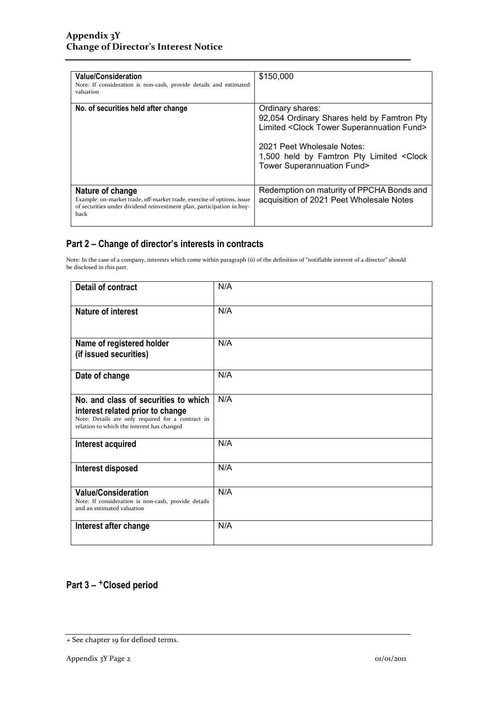| <b>Value/Consideration</b><br>Note: If consideration is non-cash, provide details and estimated<br>valuation                                                                | \$150,000                                                                                                                                                                                                                                             |
|-----------------------------------------------------------------------------------------------------------------------------------------------------------------------------|-------------------------------------------------------------------------------------------------------------------------------------------------------------------------------------------------------------------------------------------------------|
| No. of securities held after change                                                                                                                                         | Ordinary shares:<br>92,054 Ordinary Shares held by Famtron Pty<br>Limited <clock fund="" superannuation="" tower=""><br/>2021 Peet Wholesale Notes:<br/>1,500 held by Famtron Pty Limited &lt; Clock<br/><b>Tower Superannuation Fund&gt;</b></clock> |
| Nature of change<br>Example: on-market trade, off-market trade, exercise of options, issue<br>of securities under dividend reinvestment plan, participation in buy-<br>back | Redemption on maturity of PPCHA Bonds and<br>acquisition of 2021 Peet Wholesale Notes                                                                                                                                                                 |

### **Part 2 – Change of director's interests in contracts**

Note: In the case of a company, interests which come within paragraph (ii) of the definition of "notifiable interest of a director" should be disclosed in this part.

| <b>Detail of contract</b>                                                                                                                                                   | N/A |
|-----------------------------------------------------------------------------------------------------------------------------------------------------------------------------|-----|
| Nature of interest                                                                                                                                                          | N/A |
| Name of registered holder<br>(if issued securities)                                                                                                                         | N/A |
| Date of change                                                                                                                                                              | N/A |
| No. and class of securities to which<br>interest related prior to change<br>Note: Details are only required for a contract in<br>relation to which the interest has changed | N/A |
| Interest acquired                                                                                                                                                           | N/A |
| Interest disposed                                                                                                                                                           | N/A |
| <b>Value/Consideration</b><br>Note: If consideration is non-cash, provide details<br>and an estimated valuation                                                             | N/A |
| Interest after change                                                                                                                                                       | N/A |

## **Part 3 –** +**Closed period**

<sup>+</sup> See chapter 19 for defined terms.